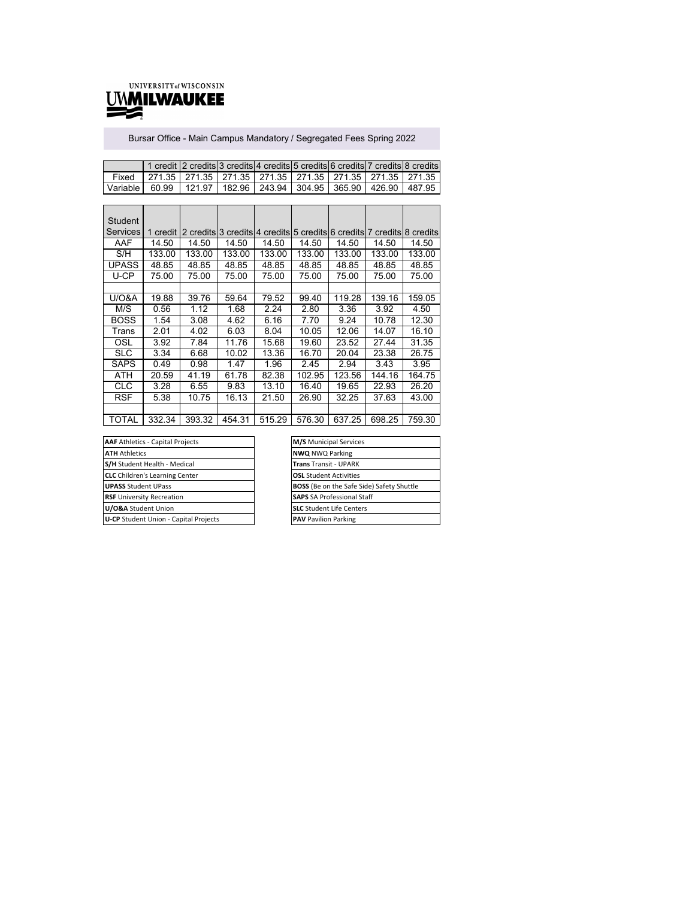

÷

Bursar Office - Main Campus Mandatory / Segregated Fees Spring 2022

|                                                                                 |                                                                       |  |  | 1 credit 2 credits 3 credits 4 credits 5 credits 6 credits 7 credits 8 credits |
|---------------------------------------------------------------------------------|-----------------------------------------------------------------------|--|--|--------------------------------------------------------------------------------|
| Fixed                                                                           | 271.35   271.35   271.35   271.35   271.35   271.35   271.35   271.35 |  |  |                                                                                |
| Variable   60.99   121.97   182.96   243.94   304.95   365.90   426.90   487.95 |                                                                       |  |  |                                                                                |

| Student          |          |        |        |        |        |                                                                       |        |        |
|------------------|----------|--------|--------|--------|--------|-----------------------------------------------------------------------|--------|--------|
| Services         | 1 credit |        |        |        |        | 2 credits 3 credits 4 credits 5 credits 6 credits 7 credits 8 credits |        |        |
| AAF              | 14.50    | 14.50  | 14.50  | 14.50  | 14.50  | 14.50                                                                 | 14.50  | 14.50  |
| S/H              | 133.00   | 133.00 | 133.00 | 133.00 | 133.00 | 133.00                                                                | 133.00 | 133.00 |
| <b>UPASS</b>     | 48.85    | 48.85  | 48.85  | 48.85  | 48.85  | 48.85                                                                 | 48.85  | 48.85  |
| U-CP             | 75.00    | 75.00  | 75.00  | 75.00  | 75.00  | 75.00                                                                 | 75.00  | 75.00  |
|                  |          |        |        |        |        |                                                                       |        |        |
| <b>U/O&amp;A</b> | 19.88    | 39.76  | 59.64  | 79.52  | 99.40  | 119.28                                                                | 139.16 | 159.05 |
| M/S              | 0.56     | 1.12   | 1.68   | 2.24   | 2.80   | 3.36                                                                  | 3.92   | 4.50   |
| BOSS             | 1.54     | 3.08   | 4.62   | 6.16   | 7.70   | 9.24                                                                  | 10.78  | 12.30  |
| Trans            | 2.01     | 4.02   | 6.03   | 8.04   | 10.05  | 12.06                                                                 | 14.07  | 16.10  |
| OSL              | 3.92     | 7.84   | 11.76  | 15.68  | 19.60  | 23.52                                                                 | 27.44  | 31.35  |
| SLC              | 3.34     | 6.68   | 10.02  | 13.36  | 16.70  | 20.04                                                                 | 23.38  | 26.75  |
| SAPS             | 0.49     | 0.98   | 1.47   | 1.96   | 2.45   | 2.94                                                                  | 3.43   | 3.95   |
| ATH              | 20.59    | 41.19  | 61.78  | 82.38  | 102.95 | 123.56                                                                | 144.16 | 164.75 |
| CLC              | 3.28     | 6.55   | 9.83   | 13.10  | 16.40  | 19.65                                                                 | 22.93  | 26.20  |
| <b>RSF</b>       | 5.38     | 10.75  | 16.13  | 21.50  | 26.90  | 32.25                                                                 | 37.63  | 43.00  |
|                  |          |        |        |        |        |                                                                       |        |        |
| TOTAL            | 332.34   | 393.32 | 454.31 | 515.29 | 576.30 | 637.25                                                                | 698.25 | 759.30 |

| <b>AAF</b> Athletics - Capital Projects | <b>M/S</b> Municipal Services                    |
|-----------------------------------------|--------------------------------------------------|
| <b>ATH Athletics</b>                    | <b>NWO NWO Parking</b>                           |
| <b>S/H</b> Student Health - Medical     | <b>Trans Transit - UPARK</b>                     |
| <b>CLC</b> Children's Learning Center   | <b>OSL</b> Student Activities                    |
| <b>UPASS Student UPass</b>              | <b>BOSS</b> (Be on the Safe Side) Safety Shuttle |
| <b>RSF</b> University Recreation        | <b>SAPS</b> SA Professional Staff                |
| U/O&A Student Union                     | <b>SLC</b> Student Life Centers                  |
| U-CP Student Union - Capital Projects   | <b>PAV</b> Pavilion Parking                      |

| M/S Municipal Services                           |
|--------------------------------------------------|
| <b>NWQ NWQ Parking</b>                           |
| <b>Trans Transit - UPARK</b>                     |
| <b>OSL</b> Student Activities                    |
| <b>BOSS</b> (Be on the Safe Side) Safety Shuttle |
| <b>SAPS</b> SA Professional Staff                |
| <b>SLC</b> Student Life Centers                  |
| <b>PAV</b> Pavilion Parking                      |